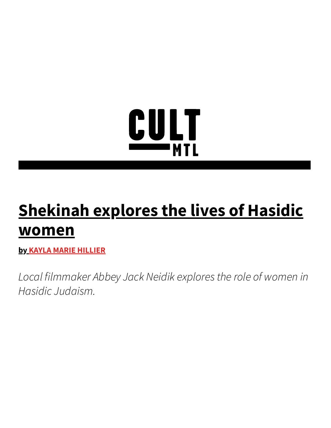## <u>CULT</u>

## **Shekinah explores the lives of Hasidic women**

**by KAYLA MARIE HILLIER**

*Local filmmaker Abbey Jack Neidik explores the role of women in Hasidic Judaism.*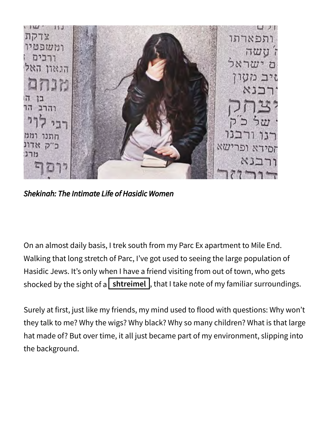

*Shekinah: The Intimate Life of Hasidic Women*

On an almost daily basis, I trek south from my Parc Ex apartment to Mile End. Walking that long stretch of Parc, I've got used to seeing the large population of Hasidic Jews. It's only when I have a friend visiting from out of town, who gets shocked by the sight of a  $\mathsf{S}$  shtreimel  $\mathsf{S}$ , that I take note of my familiar surroundings.

Surely at first, just like my friends, my mind used to flood with questions: Why won't they talk to me? Why the wigs? Why black? Why so many children? What is that large hat made of? But over time, it all just became part of my environment, slipping into the background.